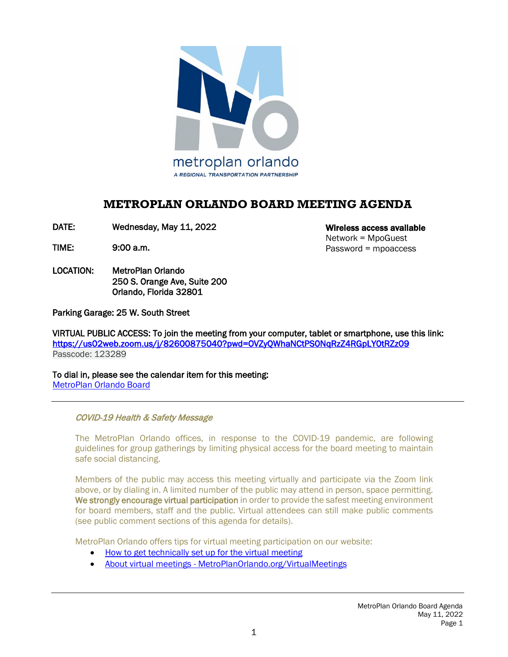

# **METROPLAN ORLANDO BOARD MEETING AGENDA**

DATE: Wednesday, May 11, 2022

TIME: 9:00 a.m.

LOCATION: MetroPlan Orlando 250 S. Orange Ave, Suite 200 Orlando, Florida 32801

Wireless access available Network = MpoGuest Password = mpoaccess

Parking Garage: 25 W. South Street

VIRTUAL PUBLIC ACCESS: To join the meeting from your computer, tablet or smartphone, use this link: <https://us02web.zoom.us/j/82600875040?pwd=OVZyQWhaNCtPS0NqRzZ4RGpLY0tRZz09> Passcode: 123289

To dial in, please see the calendar item for this meeting: [MetroPlan Orlando Board](https://metroplanorlando.org/meetings/metroplan-orlando-board-05-11-22/)

#### COVID-19 Health & Safety Message

The MetroPlan Orlando offices, in response to the COVID-19 pandemic, are following guidelines for group gatherings by limiting physical access for the board meeting to maintain safe social distancing.

Members of the public may access this meeting virtually and participate via the Zoom link above, or by dialing in. A limited number of the public may attend in person, space permitting. We strongly encourage virtual participation in order to provide the safest meeting environment for board members, staff and the public. Virtual attendees can still make public comments (see public comment sections of this agenda for details).

MetroPlan Orlando offers tips for virtual meeting participation on our website:

- [How to get technically set up for the virtual meeting](https://metroplanorlando.org/wp-content/uploads/VM_TipsSheet_SetUp_Public-FINAL.pdf)
- [About virtual meetings MetroPlanOrlando.org/VirtualMeetings](https://metroplanorlando.org/virtualmeetings)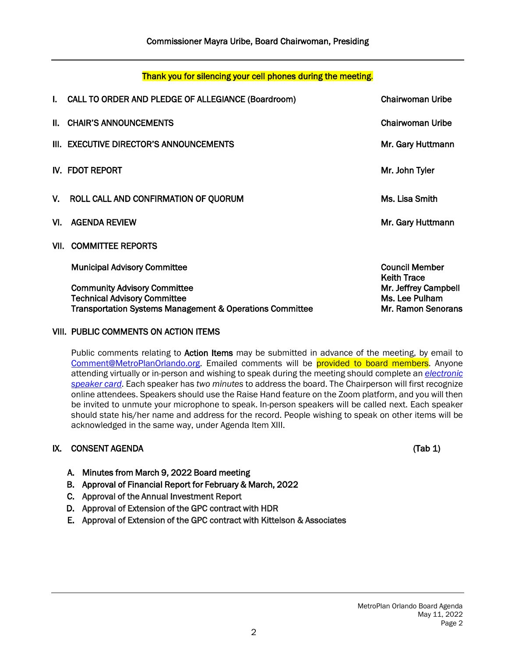| I. CALL TO ORDER AND PLEDGE OF ALLEGIANCE (Boardroom)                                                                                  | <b>Chairwoman Uribe</b>                                      |
|----------------------------------------------------------------------------------------------------------------------------------------|--------------------------------------------------------------|
| II. CHAIR'S ANNOUNCEMENTS                                                                                                              | Chairwoman Uribe                                             |
| III. EXECUTIVE DIRECTOR'S ANNOUNCEMENTS                                                                                                | Mr. Gary Huttmann                                            |
| IV. FDOT REPORT                                                                                                                        | Mr. John Tyler                                               |
| V. ROLL CALL AND CONFIRMATION OF QUORUM                                                                                                | Ms. Lisa Smith                                               |
| VI. AGENDA REVIEW                                                                                                                      | Mr. Gary Huttmann                                            |
| VII. COMMITTEE REPORTS                                                                                                                 |                                                              |
| <b>Municipal Advisory Committee</b>                                                                                                    | <b>Council Member</b><br><b>Keith Trace</b>                  |
| <b>Community Advisory Committee</b><br><b>Technical Advisory Committee</b><br>Transportation Systems Management & Operations Committee | Mr. Jeffrey Campbell<br>Ms. Lee Pulham<br>Mr. Ramon Senorans |

## VIII. PUBLIC COMMENTS ON ACTION ITEMS

Public comments relating to Action Items may be submitted in advance of the meeting, by email to [Comment@MetroPlanOrlando.org.](mailto:Comment@MetroPlanOrlando.org) Emailed comments will be provided to board members. Anyone attending virtually or in-person and wishing to speak during the meeting should complete an *[electronic](https://metroplanorlando.org/board-committees/speaker-card-for-meetings/) [speaker card](https://metroplanorlando.org/board-committees/speaker-card-for-meetings/)*. Each speaker has *two minutes* to address the board. The Chairperson will first recognize online attendees. Speakers should use the Raise Hand feature on the Zoom platform, and you will then be invited to unmute your microphone to speak. In-person speakers will be called next. Each speaker should state his/her name and address for the record. People wishing to speak on other items will be acknowledged in the same way, under Agenda Item XIII.

## IX. CONSENT AGENDA (Tab 1)

- A. Minutes from March 9, 2022 Board meeting
- B. Approval of Financial Report for February & March, 2022
- C. Approval of the Annual Investment Report
- D. Approval of Extension of the GPC contract with HDR
- E. Approval of Extension of the GPC contract with Kittelson & Associates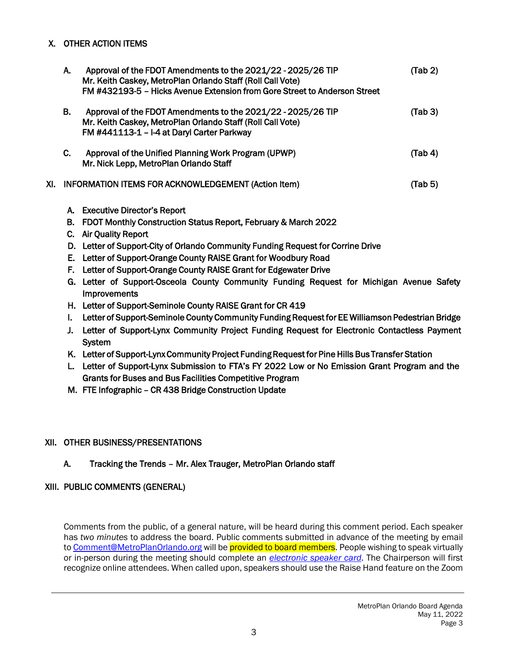## X. OTHER ACTION ITEMS

| А. | Approval of the FDOT Amendments to the 2021/22 - 2025/26 TIP<br>Mr. Keith Caskey, MetroPlan Orlando Staff (Roll Call Vote)<br>FM #432193-5 - Hicks Avenue Extension from Gore Street to Anderson Street | (Tab 2) |
|----|---------------------------------------------------------------------------------------------------------------------------------------------------------------------------------------------------------|---------|
| В. | Approval of the FDOT Amendments to the 2021/22 - 2025/26 TIP<br>Mr. Keith Caskey, MetroPlan Orlando Staff (Roll Call Vote)<br>FM #441113-1 - I-4 at Daryl Carter Parkway                                | (Tab3)  |
| C. | Approval of the Unified Planning Work Program (UPWP)<br>Mr. Nick Lepp, MetroPlan Orlando Staff                                                                                                          | (Tab 4) |
|    | XI. INFORMATION ITEMS FOR ACKNOWLEDGEMENT (Action Item)                                                                                                                                                 | (Tab 5) |

- A. Executive Director's Report
- B. FDOT Monthly Construction Status Report, February & March 2022
- C. Air Quality Report
- D. Letter of Support-City of Orlando Community Funding Request for Corrine Drive
- E. Letter of Support-Orange County RAISE Grant for Woodbury Road
- F. Letter of Support-Orange County RAISE Grant for Edgewater Drive
- G. Letter of Support-Osceola County Community Funding Request for Michigan Avenue Safety **Improvements**
- H. Letter of Support-Seminole County RAISE Grant for CR 419
- I. Letter of Support-Seminole County Community Funding Request for EE Williamson Pedestrian Bridge
- J. Letter of Support-Lynx Community Project Funding Request for Electronic Contactless Payment System
- K. Letter of Support-Lynx Community Project Funding Request for Pine Hills Bus Transfer Station
- L. Letter of Support-Lynx Submission to FTA's FY 2022 Low or No Emission Grant Program and the Grants for Buses and Bus Facilities Competitive Program
- M. FTE Infographic CR 438 Bridge Construction Update

# XII. OTHER BUSINESS/PRESENTATIONS

## A. Tracking the Trends – Mr. Alex Trauger, MetroPlan Orlando staff

## XIII. PUBLIC COMMENTS (GENERAL)

Comments from the public, of a general nature, will be heard during this comment period. Each speaker has *two minutes* to address the board. Public comments submitted in advance of the meeting by email t[o Comment@MetroPlanOrlando.org](mailto:Comment@MetroPlanOrlando.org) will be provided to board members. People wishing to speak virtually or in-person during the meeting should complete an *[electronic speaker card](https://metroplanorlando.org/board-committees/speaker-card-for-meetings/)*. The Chairperson will first recognize online attendees. When called upon, speakers should use the Raise Hand feature on the Zoom